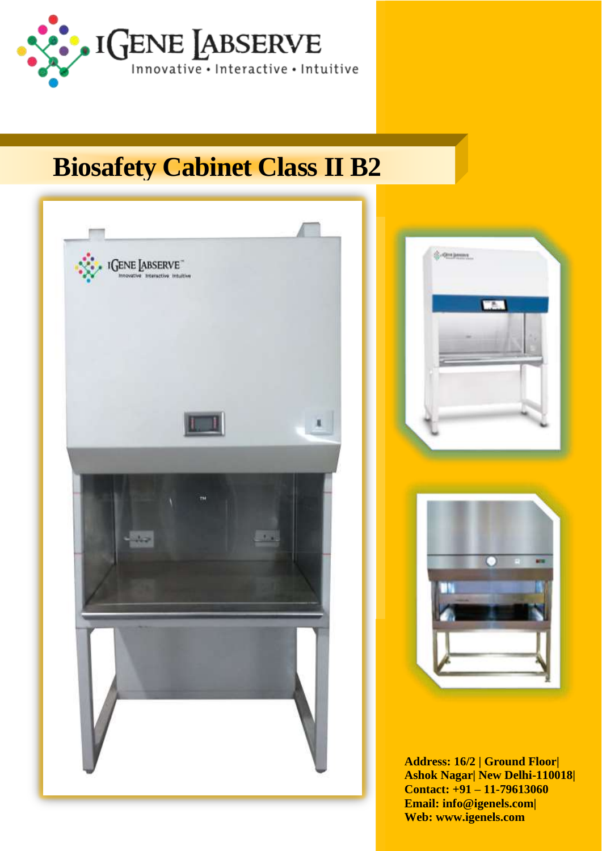

# **Biosafety Cabinet Class II B2**





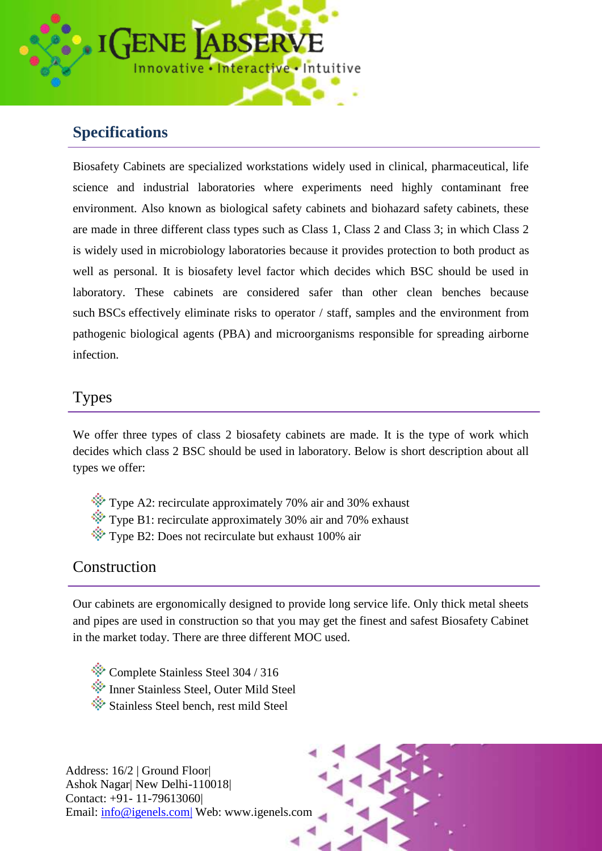

# **Specifications**

Biosafety Cabinets are specialized workstations widely used in clinical, pharmaceutical, life science and industrial laboratories where experiments need highly contaminant free environment. Also known as biological safety cabinets and biohazard safety cabinets, these are made in three different class types such as Class 1, Class 2 and Class 3; in which Class 2 is widely used in microbiology laboratories because it provides protection to both product as well as personal. It is biosafety level factor which decides which BSC should be used in laboratory. These cabinets are considered safer than other clean benches because such BSCs effectively eliminate risks to operator / staff, samples and the environment from pathogenic biological agents (PBA) and microorganisms responsible for spreading airborne infection.

#### Types

We offer three types of class 2 biosafety cabinets are made. It is the type of work which decides which class 2 BSC should be used in laboratory. Below is short description about all types we offer:

- $\hat{X}$  Type A2: recirculate approximately 70% air and 30% exhaust
- $\hat{\mathcal{F}}$  Type B1: recirculate approximately 30% air and 70% exhaust
- $\cdot$  Type B2: Does not recirculate but exhaust 100% air

#### **Construction**

Our cabinets are ergonomically designed to provide long service life. Only thick metal sheets and pipes are used in construction so that you may get the finest and safest Biosafety Cabinet in the market today. There are three different MOC used.

- Complete Stainless Steel 304 / 316
- Inner Stainless Steel, Outer Mild Steel
- Stainless Steel bench, rest mild Steel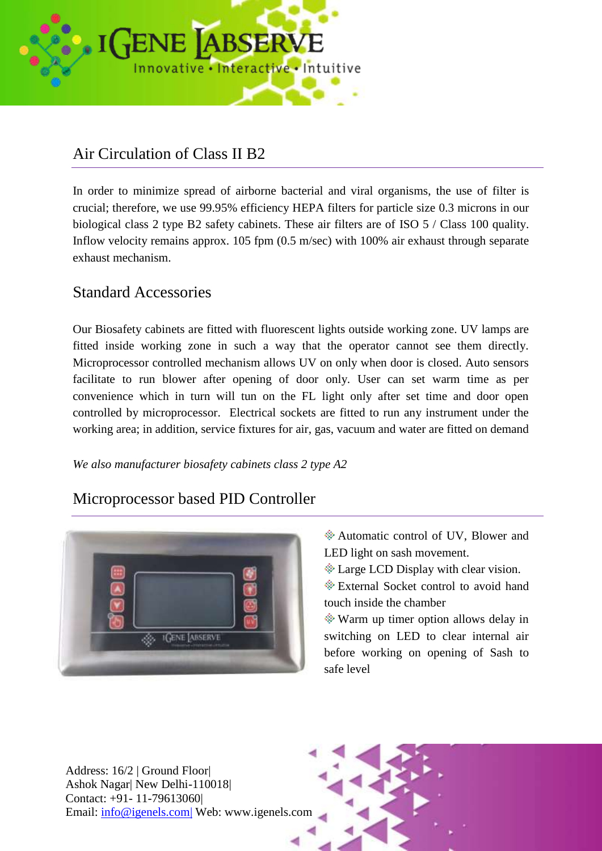![](_page_2_Picture_0.jpeg)

## Air Circulation of Class II B2

In order to minimize spread of airborne bacterial and viral organisms, the use of filter is crucial; therefore, we use 99.95% efficiency HEPA filters for particle size 0.3 microns in our biological class 2 type B2 safety cabinets. These air filters are of ISO 5 / Class 100 quality. Inflow velocity remains approx. 105 fpm  $(0.5 \text{ m/sec})$  with 100% air exhaust through separate exhaust mechanism.

#### Standard Accessories

Our Biosafety cabinets are fitted with fluorescent lights outside working zone. UV lamps are fitted inside working zone in such a way that the operator cannot see them directly. Microprocessor controlled mechanism allows UV on only when door is closed. Auto sensors facilitate to run blower after opening of door only. User can set warm time as per convenience which in turn will tun on the FL light only after set time and door open controlled by microprocessor. Electrical sockets are fitted to run any instrument under the working area; in addition, service fixtures for air, gas, vacuum and water are fitted on demand

*We also manufacturer biosafety cabinets class 2 type A2*

### Microprocessor based PID Controller

![](_page_2_Picture_7.jpeg)

- Automatic control of UV, Blower and LED light on sash movement.
- **Example LCD** Display with clear vision.

External Socket control to avoid hand touch inside the chamber

Warm up timer option allows delay in switching on LED to clear internal air before working on opening of Sash to safe level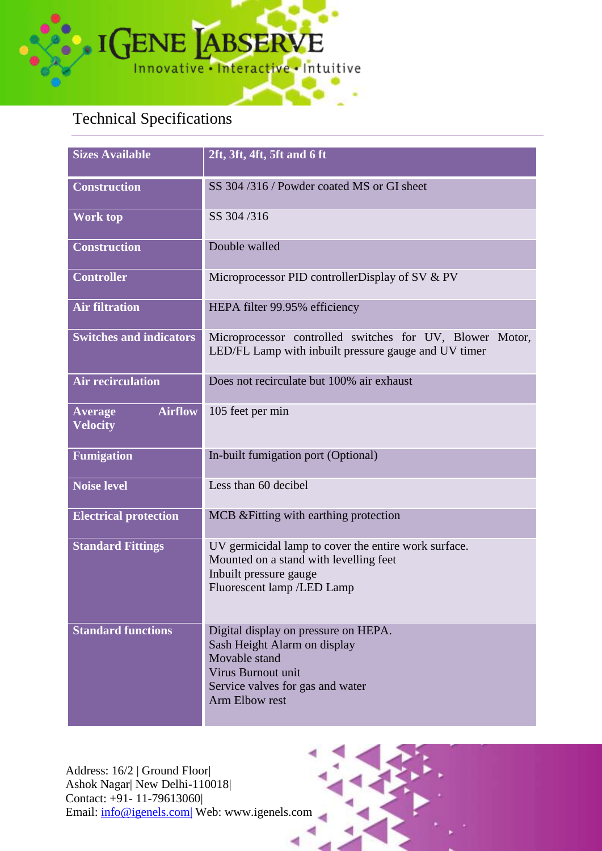![](_page_3_Picture_0.jpeg)

# Technical Specifications

| <b>Sizes Available</b>                              | 2ft, 3ft, 4ft, 5ft and 6 ft                                                                                                                                       |  |
|-----------------------------------------------------|-------------------------------------------------------------------------------------------------------------------------------------------------------------------|--|
| <b>Construction</b>                                 | SS 304/316/Powder coated MS or GI sheet                                                                                                                           |  |
| <b>Work top</b>                                     | SS 304/316                                                                                                                                                        |  |
| <b>Construction</b>                                 | Double walled                                                                                                                                                     |  |
| <b>Controller</b>                                   | Microprocessor PID controller Display of SV & PV                                                                                                                  |  |
| <b>Air filtration</b>                               | HEPA filter 99.95% efficiency                                                                                                                                     |  |
| <b>Switches and indicators</b>                      | Microprocessor controlled switches for UV, Blower Motor,<br>LED/FL Lamp with inbuilt pressure gauge and UV timer                                                  |  |
| <b>Air recirculation</b>                            | Does not recirculate but 100% air exhaust                                                                                                                         |  |
| <b>Airflow</b><br><b>Average</b><br><b>Velocity</b> | 105 feet per min                                                                                                                                                  |  |
| <b>Fumigation</b>                                   | In-built fumigation port (Optional)                                                                                                                               |  |
| <b>Noise level</b>                                  | Less than 60 decibel                                                                                                                                              |  |
| <b>Electrical protection</b>                        | MCB & Fitting with earthing protection                                                                                                                            |  |
| <b>Standard Fittings</b>                            | UV germicidal lamp to cover the entire work surface.<br>Mounted on a stand with levelling feet<br>Inbuilt pressure gauge<br>Fluorescent lamp /LED Lamp            |  |
| <b>Standard functions</b>                           | Digital display on pressure on HEPA.<br>Sash Height Alarm on display<br>Movable stand<br>Virus Burnout unit<br>Service valves for gas and water<br>Arm Elbow rest |  |